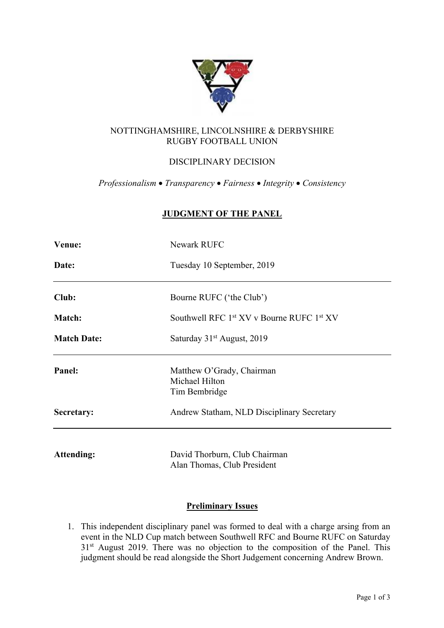

## NOTTINGHAMSHIRE, LINCOLNSHIRE & DERBYSHIRE RUGBY FOOTBALL UNION

# DISCIPLINARY DECISION

*Professionalism* • *Transparency* • *Fairness* • *Integrity* • *Consistency*

## **JUDGMENT OF THE PANEL**

| Venue:             | Newark RUFC                                                       |
|--------------------|-------------------------------------------------------------------|
| Date:              | Tuesday 10 September, 2019                                        |
| Club:              | Bourne RUFC ('the Club')                                          |
| <b>Match:</b>      | Southwell RFC 1 <sup>st</sup> XV v Bourne RUFC 1 <sup>st</sup> XV |
| <b>Match Date:</b> | Saturday 31 <sup>st</sup> August, 2019                            |
| Panel:             | Matthew O'Grady, Chairman<br>Michael Hilton<br>Tim Bembridge      |
| Secretary:         | Andrew Statham, NLD Disciplinary Secretary                        |
| <b>Attending:</b>  | David Thorburn, Club Chairman<br>Alan Thomas, Club President      |

## **Preliminary Issues**

1. This independent disciplinary panel was formed to deal with a charge arsing from an event in the NLD Cup match between Southwell RFC and Bourne RUFC on Saturday 31<sup>st</sup> August 2019. There was no objection to the composition of the Panel. This judgment should be read alongside the Short Judgement concerning Andrew Brown.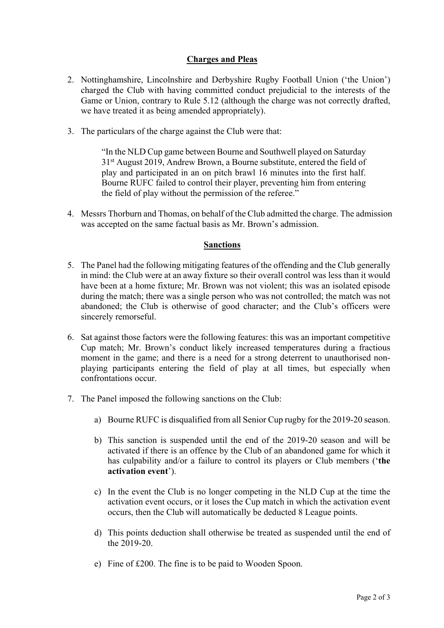#### **Charges and Pleas**

- 2. Nottinghamshire, Lincolnshire and Derbyshire Rugby Football Union ('the Union') charged the Club with having committed conduct prejudicial to the interests of the Game or Union, contrary to Rule 5.12 (although the charge was not correctly drafted, we have treated it as being amended appropriately).
- 3. The particulars of the charge against the Club were that:

"In the NLD Cup game between Bourne and Southwell played on Saturday 31st August 2019, Andrew Brown, a Bourne substitute, entered the field of play and participated in an on pitch brawl 16 minutes into the first half. Bourne RUFC failed to control their player, preventing him from entering the field of play without the permission of the referee."

4. Messrs Thorburn and Thomas, on behalf of the Club admitted the charge. The admission was accepted on the same factual basis as Mr. Brown's admission.

#### **Sanctions**

- 5. The Panel had the following mitigating features of the offending and the Club generally in mind: the Club were at an away fixture so their overall control was less than it would have been at a home fixture; Mr. Brown was not violent; this was an isolated episode during the match; there was a single person who was not controlled; the match was not abandoned; the Club is otherwise of good character; and the Club's officers were sincerely remorseful.
- 6. Sat against those factors were the following features: this was an important competitive Cup match; Mr. Brown's conduct likely increased temperatures during a fractious moment in the game; and there is a need for a strong deterrent to unauthorised nonplaying participants entering the field of play at all times, but especially when confrontations occur.
- 7. The Panel imposed the following sanctions on the Club:
	- a) Bourne RUFC is disqualified from all Senior Cup rugby for the 2019-20 season.
	- b) This sanction is suspended until the end of the 2019-20 season and will be activated if there is an offence by the Club of an abandoned game for which it has culpability and/or a failure to control its players or Club members ('**the activation event**').
	- c) In the event the Club is no longer competing in the NLD Cup at the time the activation event occurs, or it loses the Cup match in which the activation event occurs, then the Club will automatically be deducted 8 League points.
	- d) This points deduction shall otherwise be treated as suspended until the end of the 2019-20.
	- e) Fine of £200. The fine is to be paid to Wooden Spoon.